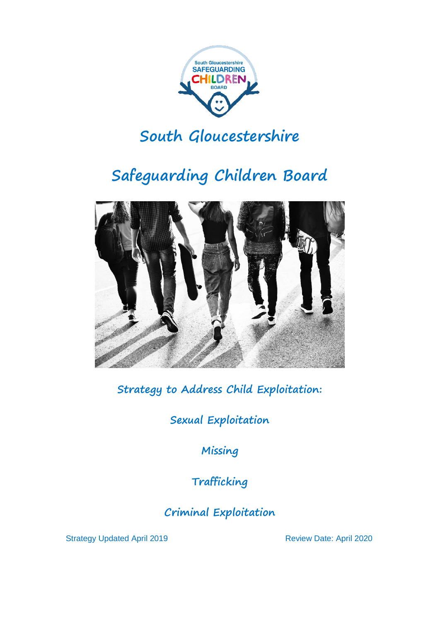

# **South Gloucestershire**

# **Safeguarding Children Board**



**Strategy to Address Child Exploitation:**

**Sexual Exploitation**

**Missing**

**Trafficking**

**Criminal Exploitation**

Strategy Updated April 2019 **Review Date: April 2020**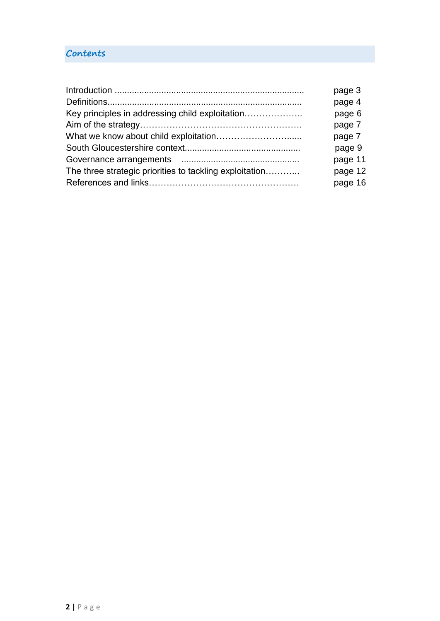# **Contents**

|                                                         | page 3  |
|---------------------------------------------------------|---------|
|                                                         | page 4  |
| Key principles in addressing child exploitation         | page 6  |
|                                                         | page 7  |
|                                                         | page 7  |
|                                                         | page 9  |
|                                                         | page 11 |
| The three strategic priorities to tackling exploitation | page 12 |
|                                                         | page 16 |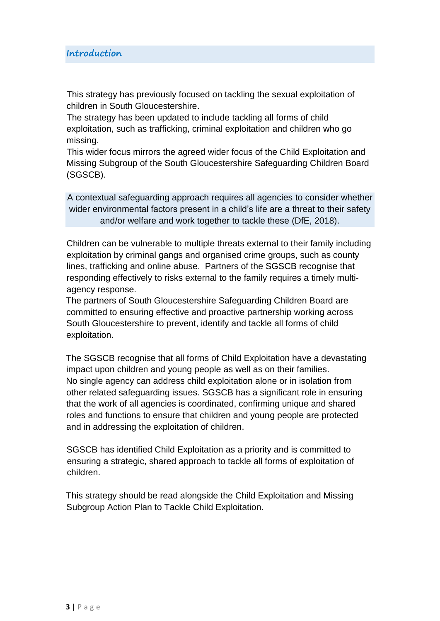This strategy has previously focused on tackling the sexual exploitation of children in South Gloucestershire.

The strategy has been updated to include tackling all forms of child exploitation, such as trafficking, criminal exploitation and children who go missing.

This wider focus mirrors the agreed wider focus of the Child Exploitation and Missing Subgroup of the South Gloucestershire Safeguarding Children Board (SGSCB).

A contextual safeguarding approach requires all agencies to consider whether wider environmental factors present in a child's life are a threat to their safety and/or welfare and work together to tackle these (DfE, 2018).

Children can be vulnerable to multiple threats external to their family including exploitation by criminal gangs and organised crime groups, such as county lines, trafficking and online abuse. Partners of the SGSCB recognise that responding effectively to risks external to the family requires a timely multiagency response.

The partners of South Gloucestershire Safeguarding Children Board are committed to ensuring effective and proactive partnership working across South Gloucestershire to prevent, identify and tackle all forms of child exploitation.

The SGSCB recognise that all forms of Child Exploitation have a devastating impact upon children and young people as well as on their families. No single agency can address child exploitation alone or in isolation from other related safeguarding issues. SGSCB has a significant role in ensuring that the work of all agencies is coordinated, confirming unique and shared roles and functions to ensure that children and young people are protected and in addressing the exploitation of children.

SGSCB has identified Child Exploitation as a priority and is committed to ensuring a strategic, shared approach to tackle all forms of exploitation of children.

This strategy should be read alongside the Child Exploitation and Missing Subgroup Action Plan to Tackle Child Exploitation.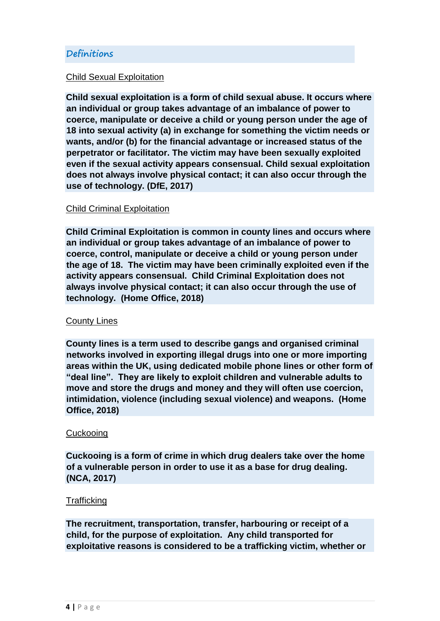#### **Definitions**

#### Child Sexual Exploitation

**Child sexual exploitation is a form of child sexual abuse. It occurs where an individual or group takes advantage of an imbalance of power to coerce, manipulate or deceive a child or young person under the age of 18 into sexual activity (a) in exchange for something the victim needs or wants, and/or (b) for the financial advantage or increased status of the perpetrator or facilitator. The victim may have been sexually exploited even if the sexual activity appears consensual. Child sexual exploitation does not always involve physical contact; it can also occur through the use of technology. (DfE, 2017)**

#### Child Criminal Exploitation

**Child Criminal Exploitation is common in county lines and occurs where an individual or group takes advantage of an imbalance of power to coerce, control, manipulate or deceive a child or young person under the age of 18. The victim may have been criminally exploited even if the activity appears consensual. Child Criminal Exploitation does not always involve physical contact; it can also occur through the use of technology. (Home Office, 2018)**

#### County Lines

**County lines is a term used to describe gangs and organised criminal networks involved in exporting illegal drugs into one or more importing areas within the UK, using dedicated mobile phone lines or other form of "deal line". They are likely to exploit children and vulnerable adults to move and store the drugs and money and they will often use coercion, intimidation, violence (including sexual violence) and weapons. (Home Office, 2018)**

#### **Cuckooing**

**Cuckooing is a form of crime in which drug dealers take over the home of a vulnerable person in order to use it as a base for drug dealing. (NCA, 2017)**

#### **Trafficking**

**The recruitment, transportation, transfer, harbouring or receipt of a child, for the purpose of exploitation. Any child transported for exploitative reasons is considered to be a trafficking victim, whether or**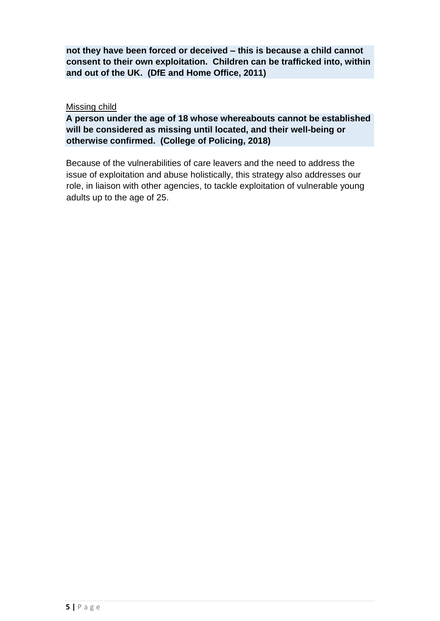**not they have been forced or deceived – this is because a child cannot consent to their own exploitation. Children can be trafficked into, within and out of the UK. (DfE and Home Office, 2011)**

Missing child

**A person under the age of 18 whose whereabouts cannot be established will be considered as missing until located, and their well-being or otherwise confirmed. (College of Policing, 2018)**

Because of the vulnerabilities of care leavers and the need to address the issue of exploitation and abuse holistically, this strategy also addresses our role, in liaison with other agencies, to tackle exploitation of vulnerable young adults up to the age of 25.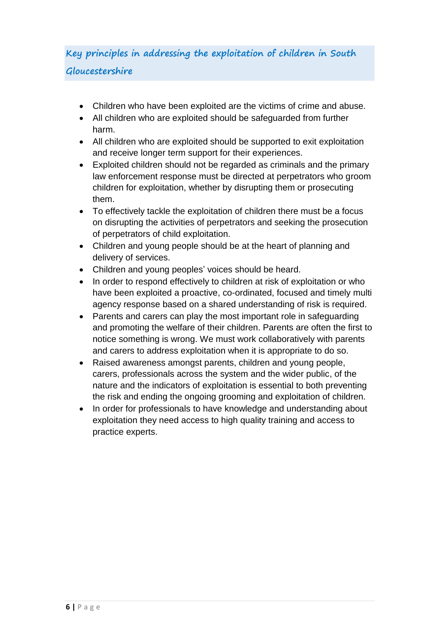# **Key principles in addressing the exploitation of children in South Gloucestershire**

- Children who have been exploited are the victims of crime and abuse.
- All children who are exploited should be safeguarded from further harm.
- All children who are exploited should be supported to exit exploitation and receive longer term support for their experiences.
- Exploited children should not be regarded as criminals and the primary law enforcement response must be directed at perpetrators who groom children for exploitation, whether by disrupting them or prosecuting them.
- To effectively tackle the exploitation of children there must be a focus on disrupting the activities of perpetrators and seeking the prosecution of perpetrators of child exploitation.
- Children and young people should be at the heart of planning and delivery of services.
- Children and young peoples' voices should be heard.
- In order to respond effectively to children at risk of exploitation or who have been exploited a proactive, co-ordinated, focused and timely multi agency response based on a shared understanding of risk is required.
- Parents and carers can play the most important role in safeguarding and promoting the welfare of their children. Parents are often the first to notice something is wrong. We must work collaboratively with parents and carers to address exploitation when it is appropriate to do so.
- Raised awareness amongst parents, children and young people, carers, professionals across the system and the wider public, of the nature and the indicators of exploitation is essential to both preventing the risk and ending the ongoing grooming and exploitation of children.
- In order for professionals to have knowledge and understanding about exploitation they need access to high quality training and access to practice experts.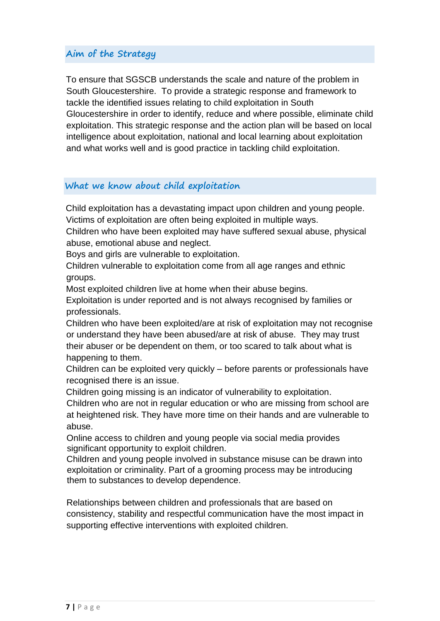### **Aim of the Strategy**

To ensure that SGSCB understands the scale and nature of the problem in South Gloucestershire. To provide a strategic response and framework to tackle the identified issues relating to child exploitation in South Gloucestershire in order to identify, reduce and where possible, eliminate child exploitation. This strategic response and the action plan will be based on local intelligence about exploitation, national and local learning about exploitation and what works well and is good practice in tackling child exploitation.

### **What we know about child exploitation**

Child exploitation has a devastating impact upon children and young people. Victims of exploitation are often being exploited in multiple ways.

Children who have been exploited may have suffered sexual abuse, physical abuse, emotional abuse and neglect.

Boys and girls are vulnerable to exploitation.

Children vulnerable to exploitation come from all age ranges and ethnic groups.

Most exploited children live at home when their abuse begins.

Exploitation is under reported and is not always recognised by families or professionals.

Children who have been exploited/are at risk of exploitation may not recognise or understand they have been abused/are at risk of abuse. They may trust their abuser or be dependent on them, or too scared to talk about what is happening to them.

Children can be exploited very quickly – before parents or professionals have recognised there is an issue.

Children going missing is an indicator of vulnerability to exploitation.

Children who are not in regular education or who are missing from school are at heightened risk. They have more time on their hands and are vulnerable to abuse.

Online access to children and young people via social media provides significant opportunity to exploit children.

Children and young people involved in substance misuse can be drawn into exploitation or criminality. Part of a grooming process may be introducing them to substances to develop dependence.

Relationships between children and professionals that are based on consistency, stability and respectful communication have the most impact in supporting effective interventions with exploited children.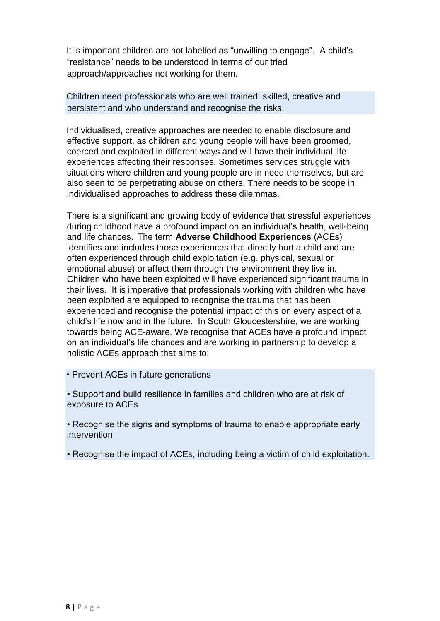It is important children are not labelled as "unwilling to engage". A child's "resistance" needs to be understood in terms of our tried approach/approaches not working for them.

Children need professionals who are well trained, skilled, creative and persistent and who understand and recognise the risks.

Individualised, creative approaches are needed to enable disclosure and effective support, as children and young people will have been groomed, coerced and exploited in different ways and will have their individual life experiences affecting their responses. Sometimes services struggle with situations where children and young people are in need themselves, but are also seen to be perpetrating abuse on others. There needs to be scope in individualised approaches to address these dilemmas.

There is a significant and growing body of evidence that stressful experiences during childhood have a profound impact on an individual's health, well-being and life chances. The term **Adverse Childhood Experiences** (ACEs) identifies and includes those experiences that directly hurt a child and are often experienced through child exploitation (e.g. physical, sexual or emotional abuse) or affect them through the environment they live in. Children who have been exploited will have experienced significant trauma in their lives. It is imperative that professionals working with children who have been exploited are equipped to recognise the trauma that has been experienced and recognise the potential impact of this on every aspect of a child's life now and in the future. In South Gloucestershire, we are working towards being ACE-aware. We recognise that ACEs have a profound impact on an individual's life chances and are working in partnership to develop a holistic ACEs approach that aims to:

• Prevent ACEs in future generations

• Support and build resilience in families and children who are at risk of exposure to ACEs

• Recognise the signs and symptoms of trauma to enable appropriate early intervention

• Recognise the impact of ACEs, including being a victim of child exploitation.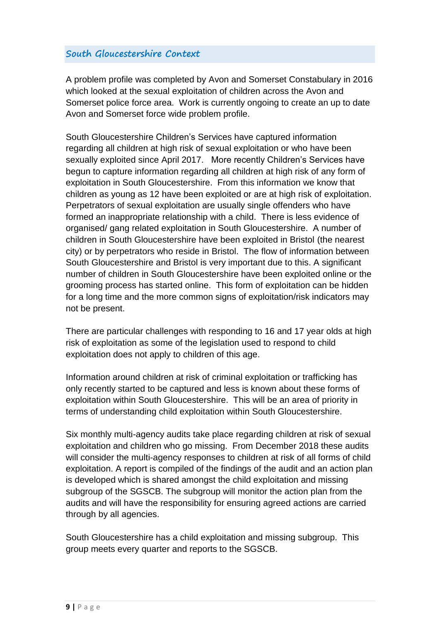### **South Gloucestershire Context**

A problem profile was completed by Avon and Somerset Constabulary in 2016 which looked at the sexual exploitation of children across the Avon and Somerset police force area. Work is currently ongoing to create an up to date Avon and Somerset force wide problem profile.

South Gloucestershire Children's Services have captured information regarding all children at high risk of sexual exploitation or who have been sexually exploited since April 2017. More recently Children's Services have begun to capture information regarding all children at high risk of any form of exploitation in South Gloucestershire. From this information we know that children as young as 12 have been exploited or are at high risk of exploitation. Perpetrators of sexual exploitation are usually single offenders who have formed an inappropriate relationship with a child. There is less evidence of organised/ gang related exploitation in South Gloucestershire. A number of children in South Gloucestershire have been exploited in Bristol (the nearest city) or by perpetrators who reside in Bristol. The flow of information between South Gloucestershire and Bristol is very important due to this. A significant number of children in South Gloucestershire have been exploited online or the grooming process has started online. This form of exploitation can be hidden for a long time and the more common signs of exploitation/risk indicators may not be present.

There are particular challenges with responding to 16 and 17 year olds at high risk of exploitation as some of the legislation used to respond to child exploitation does not apply to children of this age.

Information around children at risk of criminal exploitation or trafficking has only recently started to be captured and less is known about these forms of exploitation within South Gloucestershire. This will be an area of priority in terms of understanding child exploitation within South Gloucestershire.

Six monthly multi-agency audits take place regarding children at risk of sexual exploitation and children who go missing. From December 2018 these audits will consider the multi-agency responses to children at risk of all forms of child exploitation. A report is compiled of the findings of the audit and an action plan is developed which is shared amongst the child exploitation and missing subgroup of the SGSCB. The subgroup will monitor the action plan from the audits and will have the responsibility for ensuring agreed actions are carried through by all agencies.

South Gloucestershire has a child exploitation and missing subgroup. This group meets every quarter and reports to the SGSCB.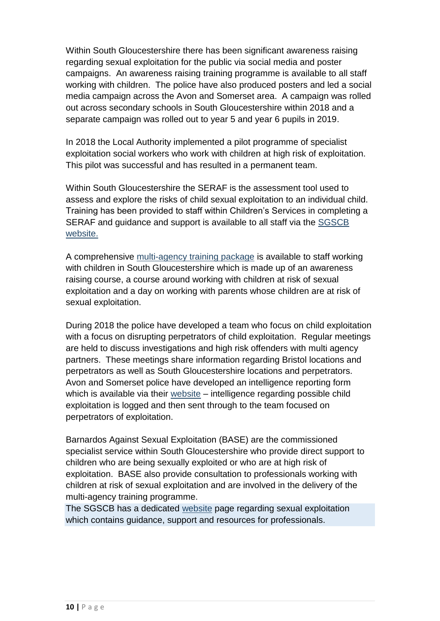Within South Gloucestershire there has been significant awareness raising regarding sexual exploitation for the public via social media and poster campaigns. An awareness raising training programme is available to all staff working with children. The police have also produced posters and led a social media campaign across the Avon and Somerset area. A campaign was rolled out across secondary schools in South Gloucestershire within 2018 and a separate campaign was rolled out to year 5 and year 6 pupils in 2019.

In 2018 the Local Authority implemented a pilot programme of specialist exploitation social workers who work with children at high risk of exploitation. This pilot was successful and has resulted in a permanent team.

Within South Gloucestershire the SERAF is the assessment tool used to assess and explore the risks of child sexual exploitation to an individual child. Training has been provided to staff within Children's Services in completing a SERAF and guidance and support is available to all staff via the [SGSCB](http://sites.southglos.gov.uk/safeguarding/children/i-am-a-professional/child-exploitation/)  [website.](http://sites.southglos.gov.uk/safeguarding/children/i-am-a-professional/child-exploitation/) 

A comprehensive multi-agency [training package](https://learning.southglos.gov.uk/courses/bookings/default.asp?ds=1&keyword=cse) is available to staff working with children in South Gloucestershire which is made up of an awareness raising course, a course around working with children at risk of sexual exploitation and a day on working with parents whose children are at risk of sexual exploitation.

During 2018 the police have developed a team who focus on child exploitation with a focus on disrupting perpetrators of child exploitation. Regular meetings are held to discuss investigations and high risk offenders with multi agency partners. These meetings share information regarding Bristol locations and perpetrators as well as South Gloucestershire locations and perpetrators. Avon and Somerset police have developed an intelligence reporting form which is available via their [website](https://www.avonandsomerset.police.uk/forms/vul) – intelligence regarding possible child exploitation is logged and then sent through to the team focused on perpetrators of exploitation.

Barnardos Against Sexual Exploitation (BASE) are the commissioned specialist service within South Gloucestershire who provide direct support to children who are being sexually exploited or who are at high risk of exploitation. BASE also provide consultation to professionals working with children at risk of sexual exploitation and are involved in the delivery of the multi-agency training programme.

The SGSCB has a dedicated [website](http://sites.southglos.gov.uk/safeguarding/children/i-am-a-professional/child-exploitation/) page regarding sexual exploitation which contains guidance, support and resources for professionals.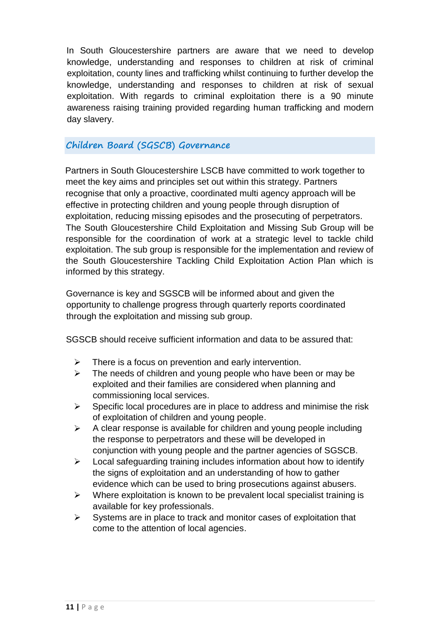In South Gloucestershire partners are aware that we need to develop knowledge, understanding and responses to children at risk of criminal exploitation, county lines and trafficking whilst continuing to further develop the knowledge, understanding and responses to children at risk of sexual exploitation. With regards to criminal exploitation there is a 90 minute awareness raising training provided regarding human trafficking and modern day slavery.

#### **Children Board (SGSCB) Governance**

Partners in South Gloucestershire LSCB have committed to work together to meet the key aims and principles set out within this strategy. Partners recognise that only a proactive, coordinated multi agency approach will be effective in protecting children and young people through disruption of exploitation, reducing missing episodes and the prosecuting of perpetrators. The South Gloucestershire Child Exploitation and Missing Sub Group will be responsible for the coordination of work at a strategic level to tackle child exploitation. The sub group is responsible for the implementation and review of the South Gloucestershire Tackling Child Exploitation Action Plan which is informed by this strategy.

Governance is key and SGSCB will be informed about and given the opportunity to challenge progress through quarterly reports coordinated through the exploitation and missing sub group.

SGSCB should receive sufficient information and data to be assured that:

- $\triangleright$  There is a focus on prevention and early intervention.
- $\triangleright$  The needs of children and young people who have been or may be exploited and their families are considered when planning and commissioning local services.
- $\triangleright$  Specific local procedures are in place to address and minimise the risk of exploitation of children and young people.
- $\triangleright$  A clear response is available for children and young people including the response to perpetrators and these will be developed in conjunction with young people and the partner agencies of SGSCB.
- $\triangleright$  Local safeguarding training includes information about how to identify the signs of exploitation and an understanding of how to gather evidence which can be used to bring prosecutions against abusers.
- $\triangleright$  Where exploitation is known to be prevalent local specialist training is available for key professionals.
- $\triangleright$  Systems are in place to track and monitor cases of exploitation that come to the attention of local agencies.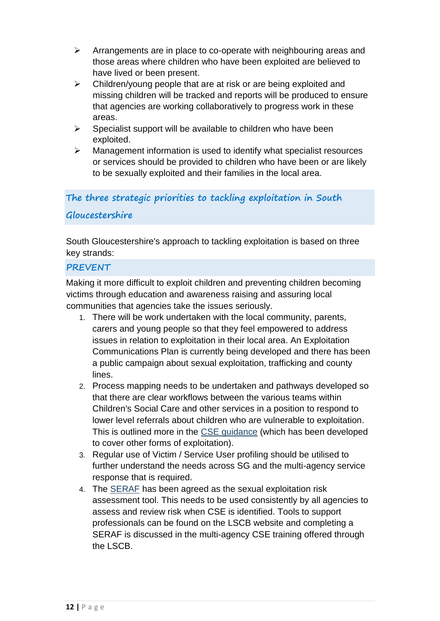- $\triangleright$  Arrangements are in place to co-operate with neighbouring areas and those areas where children who have been exploited are believed to have lived or been present.
- $\triangleright$  Children/young people that are at risk or are being exploited and missing children will be tracked and reports will be produced to ensure that agencies are working collaboratively to progress work in these areas.
- $\triangleright$  Specialist support will be available to children who have been exploited.
- $\triangleright$  Management information is used to identify what specialist resources or services should be provided to children who have been or are likely to be sexually exploited and their families in the local area.

# **The three strategic priorities to tackling exploitation in South**

### **Gloucestershire**

South Gloucestershire's approach to tackling exploitation is based on three key strands:

#### **PREVENT**

Making it more difficult to exploit children and preventing children becoming victims through education and awareness raising and assuring local communities that agencies take the issues seriously.

- 1. There will be work undertaken with the local community, parents, carers and young people so that they feel empowered to address issues in relation to exploitation in their local area. An Exploitation Communications Plan is currently being developed and there has been a public campaign about sexual exploitation, trafficking and county lines.
- 2. Process mapping needs to be undertaken and pathways developed so that there are clear workflows between the various teams within Children's Social Care and other services in a position to respond to lower level referrals about children who are vulnerable to exploitation. This is outlined more in the [CSE guidance](http://edocs.southglos.gov.uk/cse/) (which has been developed to cover other forms of exploitation).
- 3. Regular use of Victim / Service User profiling should be utilised to further understand the needs across SG and the multi-agency service response that is required.
- 4. The [SERAF](http://sites.southglos.gov.uk/safeguarding/wp-content/uploads/sites/221/2017/07/Example-SERAF.pdf) has been agreed as the sexual exploitation risk assessment tool. This needs to be used consistently by all agencies to assess and review risk when CSE is identified. Tools to support professionals can be found on the LSCB website and completing a SERAF is discussed in the multi-agency CSE training offered through the LSCB.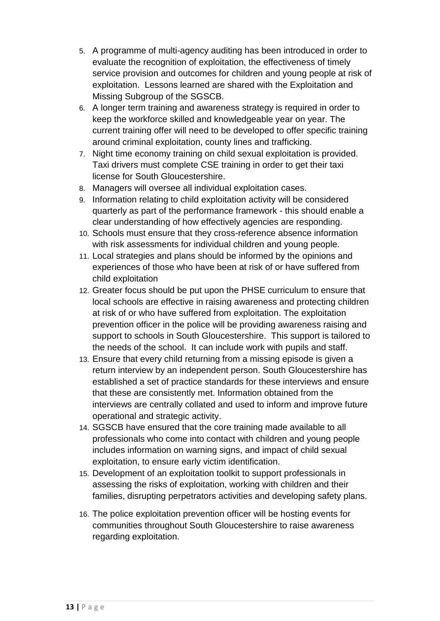- 5. A programme of multi-agency auditing has been introduced in order to evaluate the recognition of exploitation, the effectiveness of timely service provision and outcomes for children and young people at risk of exploitation. Lessons learned are shared with the Exploitation and Missing Subgroup of the SGSCB.
- 6. A longer term training and awareness strategy is required in order to keep the workforce skilled and knowledgeable year on year. The current training offer will need to be developed to offer specific training around criminal exploitation, county lines and trafficking.
- 7. Night time economy training on child sexual exploitation is provided. Taxi drivers must complete CSE training in order to get their taxi license for South Gloucestershire.
- 8. Managers will oversee all individual exploitation cases.
- 9. Information relating to child exploitation activity will be considered quarterly as part of the performance framework - this should enable a clear understanding of how effectively agencies are responding.
- 10. Schools must ensure that they cross-reference absence information with risk assessments for individual children and young people.
- 11. Local strategies and plans should be informed by the opinions and experiences of those who have been at risk of or have suffered from child exploitation
- 12. Greater focus should be put upon the PHSE curriculum to ensure that local schools are effective in raising awareness and protecting children at risk of or who have suffered from exploitation. The exploitation prevention officer in the police will be providing awareness raising and support to schools in South Gloucestershire. This support is tailored to the needs of the school. It can include work with pupils and staff.
- 13. Ensure that every child returning from a missing episode is given a return interview by an independent person. South Gloucestershire has established a set of practice standards for these interviews and ensure that these are consistently met. Information obtained from the interviews are centrally collated and used to inform and improve future operational and strategic activity.
- 14. SGSCB have ensured that the core training made available to all professionals who come into contact with children and young people includes information on warning signs, and impact of child sexual exploitation, to ensure early victim identification.
- 15. Development of an exploitation toolkit to support professionals in assessing the risks of exploitation, working with children and their families, disrupting perpetrators activities and developing safety plans.
- 16. The police exploitation prevention officer will be hosting events for communities throughout South Gloucestershire to raise awareness regarding exploitation.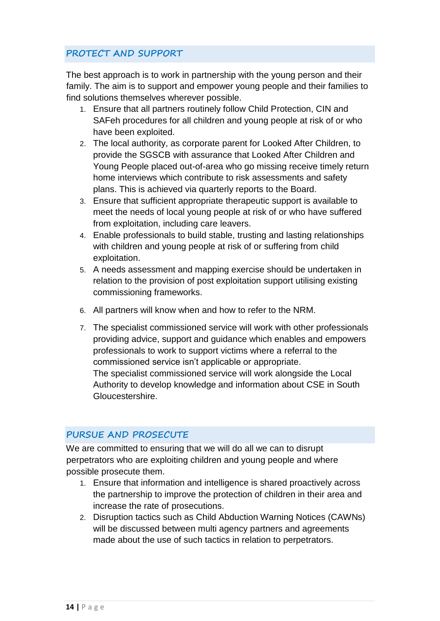# **PROTECT AND SUPPORT**

The best approach is to work in partnership with the young person and their family. The aim is to support and empower young people and their families to find solutions themselves wherever possible.

- 1. Ensure that all partners routinely follow Child Protection, CIN and SAFeh procedures for all children and young people at risk of or who have been exploited.
- 2. The local authority, as corporate parent for Looked After Children, to provide the SGSCB with assurance that Looked After Children and Young People placed out-of-area who go missing receive timely return home interviews which contribute to risk assessments and safety plans. This is achieved via quarterly reports to the Board.
- 3. Ensure that sufficient appropriate therapeutic support is available to meet the needs of local young people at risk of or who have suffered from exploitation, including care leavers.
- 4. Enable professionals to build stable, trusting and lasting relationships with children and young people at risk of or suffering from child exploitation.
- 5. A needs assessment and mapping exercise should be undertaken in relation to the provision of post exploitation support utilising existing commissioning frameworks.
- 6. All partners will know when and how to refer to the NRM.
- 7. The specialist commissioned service will work with other professionals providing advice, support and guidance which enables and empowers professionals to work to support victims where a referral to the commissioned service isn't applicable or appropriate. The specialist commissioned service will work alongside the Local Authority to develop knowledge and information about CSE in South Gloucestershire.

# **PURSUE AND PROSECUTE**

We are committed to ensuring that we will do all we can to disrupt perpetrators who are exploiting children and young people and where possible prosecute them.

- 1. Ensure that information and intelligence is shared proactively across the partnership to improve the protection of children in their area and increase the rate of prosecutions.
- 2. Disruption tactics such as Child Abduction Warning Notices (CAWNs) will be discussed between multi agency partners and agreements made about the use of such tactics in relation to perpetrators.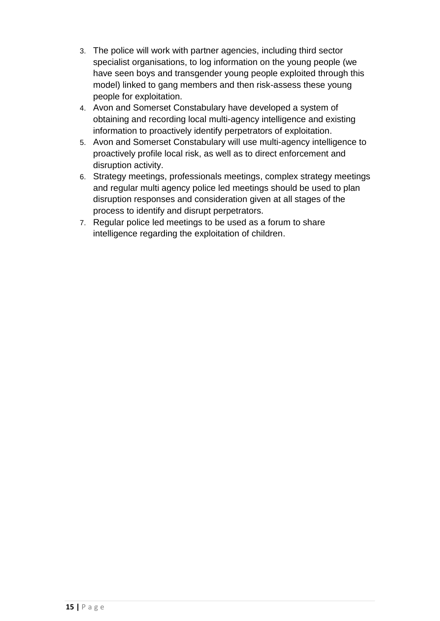- 3. The police will work with partner agencies, including third sector specialist organisations, to log information on the young people (we have seen boys and transgender young people exploited through this model) linked to gang members and then risk-assess these young people for exploitation.
- 4. Avon and Somerset Constabulary have developed a system of obtaining and recording local multi-agency intelligence and existing information to proactively identify perpetrators of exploitation.
- 5. Avon and Somerset Constabulary will use multi-agency intelligence to proactively profile local risk, as well as to direct enforcement and disruption activity.
- 6. Strategy meetings, professionals meetings, complex strategy meetings and regular multi agency police led meetings should be used to plan disruption responses and consideration given at all stages of the process to identify and disrupt perpetrators.
- 7. Regular police led meetings to be used as a forum to share intelligence regarding the exploitation of children.